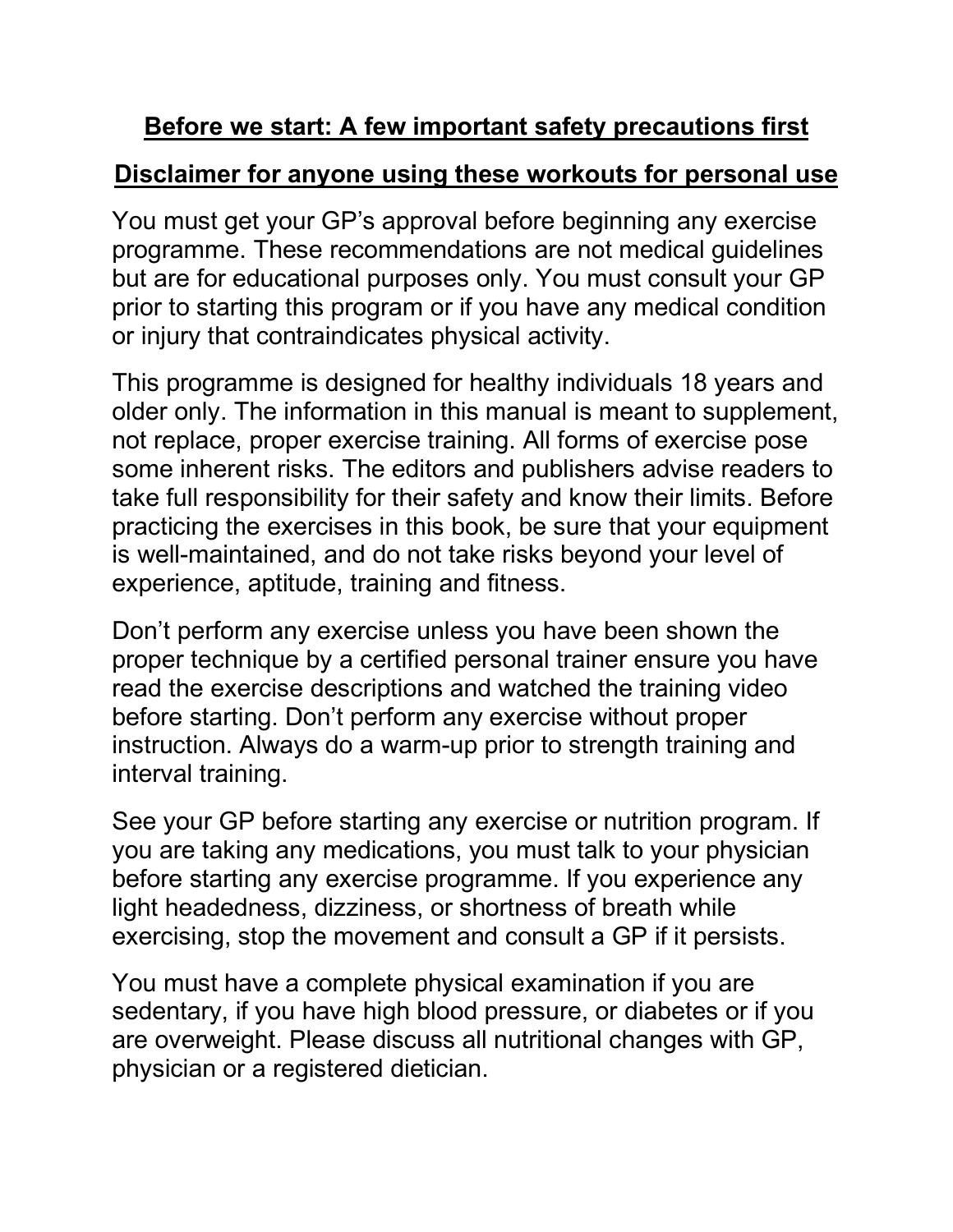## **Before we start: A few important safety precautions first**

## **Disclaimer for anyone using these workouts for personal use**

You must get your GP's approval before beginning any exercise programme. These recommendations are not medical guidelines but are for educational purposes only. You must consult your GP prior to starting this program or if you have any medical condition or injury that contraindicates physical activity.

This programme is designed for healthy individuals 18 years and older only. The information in this manual is meant to supplement, not replace, proper exercise training. All forms of exercise pose some inherent risks. The editors and publishers advise readers to take full responsibility for their safety and know their limits. Before practicing the exercises in this book, be sure that your equipment is well-maintained, and do not take risks beyond your level of experience, aptitude, training and fitness.

Don't perform any exercise unless you have been shown the proper technique by a certified personal trainer ensure you have read the exercise descriptions and watched the training video before starting. Don't perform any exercise without proper instruction. Always do a warm-up prior to strength training and interval training.

See your GP before starting any exercise or nutrition program. If you are taking any medications, you must talk to your physician before starting any exercise programme. If you experience any light headedness, dizziness, or shortness of breath while exercising, stop the movement and consult a GP if it persists.

You must have a complete physical examination if you are sedentary, if you have high blood pressure, or diabetes or if you are overweight. Please discuss all nutritional changes with GP, physician or a registered dietician.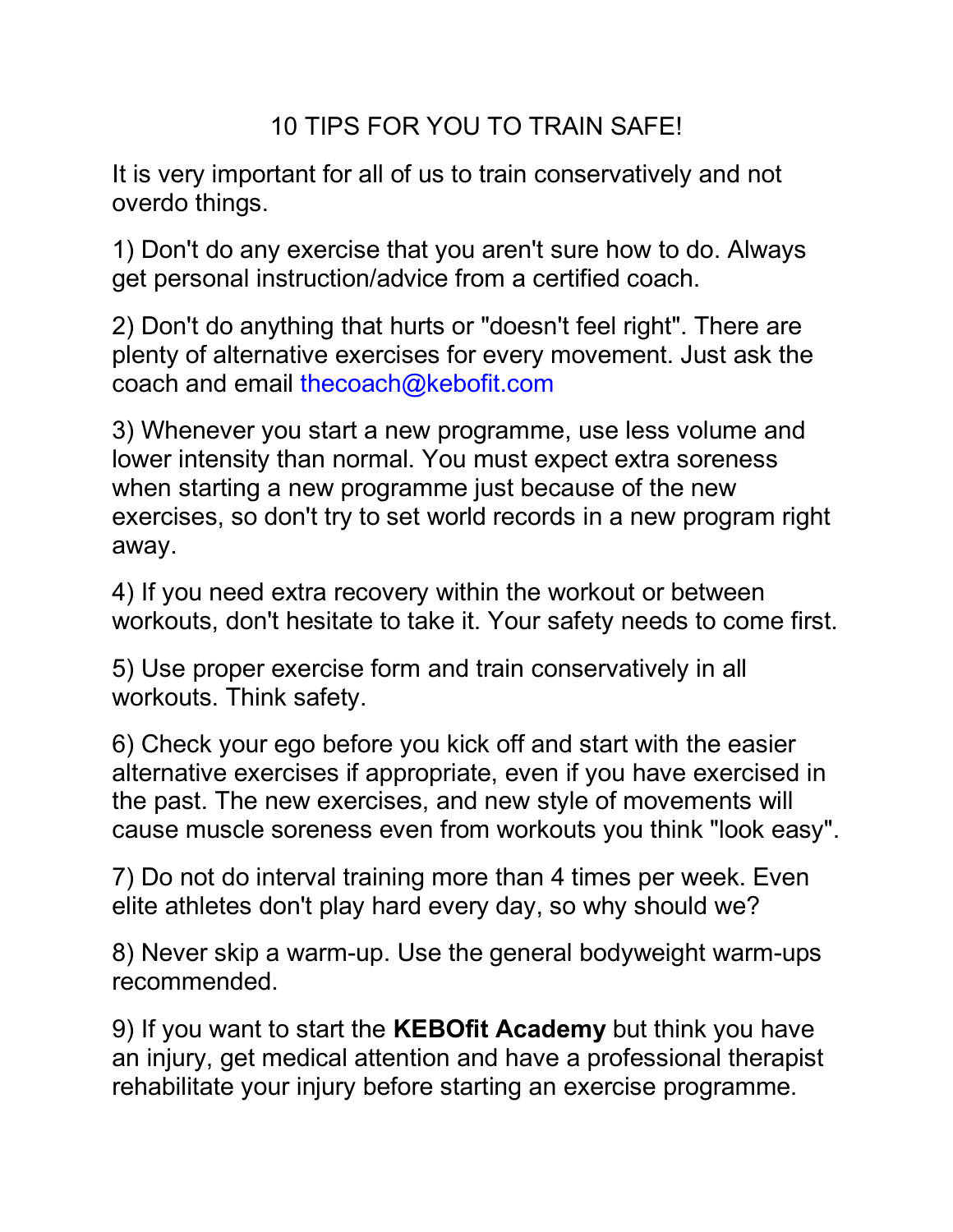## 10 TIPS FOR YOU TO TRAIN SAFE!

It is very important for all of us to train conservatively and not overdo things.

1) Don't do any exercise that you aren't sure how to do. Always get personal instruction/advice from a certified coach.

2) Don't do anything that hurts or "doesn't feel right". There are plenty of alternative exercises for every movement. Just ask the coach and email thecoach@kebofit.com

3) Whenever you start a new programme, use less volume and lower intensity than normal. You must expect extra soreness when starting a new programme just because of the new exercises, so don't try to set world records in a new program right away.

4) If you need extra recovery within the workout or between workouts, don't hesitate to take it. Your safety needs to come first.

5) Use proper exercise form and train conservatively in all workouts. Think safety.

6) Check your ego before you kick off and start with the easier alternative exercises if appropriate, even if you have exercised in the past. The new exercises, and new style of movements will cause muscle soreness even from workouts you think "look easy".

7) Do not do interval training more than 4 times per week. Even elite athletes don't play hard every day, so why should we?

8) Never skip a warm-up. Use the general bodyweight warm-ups recommended.

9) If you want to start the **KEBOfit Academy** but think you have an injury, get medical attention and have a professional therapist rehabilitate your injury before starting an exercise programme.